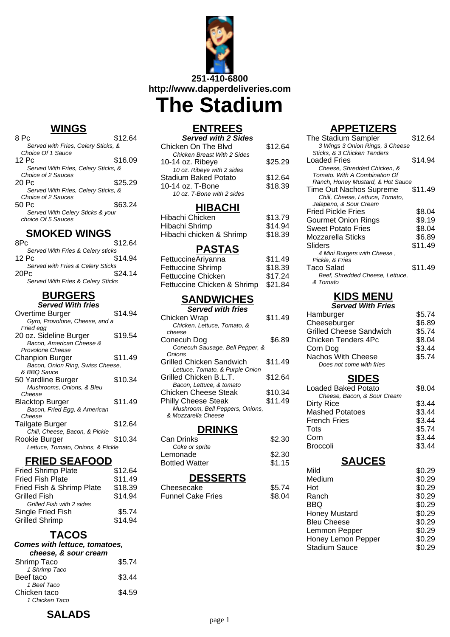

### **WINGS**

| 8 Pc                                | \$12.64 |
|-------------------------------------|---------|
| Served with Fries, Celery Sticks, & |         |
| Choice Of 1 Sauce                   |         |
| 12 Pc                               | \$16.09 |
| Served With Fries, Celery Sticks, & |         |
| Choice of 2 Sauces                  |         |
| 20 Pc                               | \$25.29 |
| Served With Fries, Celery Sticks, & |         |
| Choice of 2 Sauces                  |         |
| 50 Pc                               | \$63.24 |
| Served With Celery Sticks & your    |         |
| choice Of 5 Sauces                  |         |
|                                     |         |

### **SMOKED WINGS**

| 8Pc                               | \$12.64 |
|-----------------------------------|---------|
| Served With Fries & Celery sticks |         |
| 12 Pc                             | \$14.94 |
| Served with Fries & Celery Sticks |         |
| 20Pc                              | \$24.14 |
| Served With Fries & Celery Sticks |         |
|                                   |         |

# **BURGERS**

| <b>Served With fries</b>          |         |
|-----------------------------------|---------|
| Overtime Burger                   | \$14.94 |
| Gyro, Provolone, Cheese, and a    |         |
| Fried egg                         |         |
| 20 oz. Sideline Burger            | \$19.54 |
| Bacon, American Cheese &          |         |
| Provolone Cheese                  |         |
| Chanpion Burger                   | \$11.49 |
| Bacon, Onion Ring, Swiss Cheese,  |         |
| & BBO Sauce                       |         |
| 50 Yardline Burger                | \$10.34 |
| Mushrooms, Onions, & Bleu         |         |
| Cheese                            |         |
| Blacktop Burger                   | \$11.49 |
| Bacon, Fried Egg, & American      |         |
| Cheese                            |         |
| Tailgate Burger                   | \$12.64 |
| Chili, Cheese, Bacon, & Pickle    |         |
| Rookie Burger                     | \$10.34 |
| Lettuce, Tomato, Onions, & Pickle |         |
|                                   |         |

#### **FRIED SEAFOOD**

| <b>Fried Shrimp Plate</b> | \$12.64 |
|---------------------------|---------|
| <b>Fried Fish Plate</b>   | \$11.49 |
| Fried Fish & Shrimp Plate | \$18.39 |
| <b>Grilled Fish</b>       | \$14.94 |
| Grilled Fish with 2 sides |         |
| Single Fried Fish         | \$5.74  |
| <b>Grilled Shrimp</b>     | \$14.94 |
|                           |         |

# **TACOS**

#### **Comes with lettuce, tomatoes, cheese, & sour cream**

| $\sim$         |        |
|----------------|--------|
| Shrimp Taco    | \$5.74 |
| 1 Shrimp Taco  |        |
| Beef taco      | \$3.44 |
| 1 Beef Taco    |        |
| Chicken taco   | \$4.59 |
| 1 Chicken Taco |        |

# **ENTREES**

| <b>Served with 2 Sides</b>         |         |
|------------------------------------|---------|
| Chicken On The Blvd                | \$12.64 |
| <b>Chicken Breast With 2 Sides</b> |         |
| 10-14 oz. Ribeye                   | \$25.29 |
| 10 oz. Ribeye with 2 sides         |         |
| <b>Stadium Baked Potato</b>        | \$12.64 |
| 10-14 oz. T-Bone                   | \$18.39 |
| 10 oz. T-Bone with 2 sides         |         |

### **HIBACHI**

| Hibachi Chicken          | \$13.79 |
|--------------------------|---------|
| Hibachi Shrimp           | \$14.94 |
| Hibachi chicken & Shrimp | \$18.39 |

### **PASTAS**

| FettuccineAriyanna          | \$11.49 |
|-----------------------------|---------|
| Fettuccine Shrimp           | \$18.39 |
| Fettuccine Chicken          | \$17.24 |
| Fettuccine Chicken & Shrimp | \$21.84 |

### **SANDWICHES**

| <b>Served with fries</b>        |         |
|---------------------------------|---------|
| Chicken Wrap                    | \$11.49 |
| Chicken, Lettuce, Tomato, &     |         |
| cheese                          |         |
| Conecuh Dog                     | \$6.89  |
| Conecuh Sausage, Bell Pepper, & |         |
| Onions                          |         |
| Grilled Chicken Sandwich        | \$11.49 |
| Lettuce, Tomato, & Purple Onion |         |
| Grilled Chicken B.L.T.          | \$12.64 |
| Bacon, Lettuce, & tomato        |         |
| Chicken Cheese Steak            | \$10.34 |
| <b>Philly Cheese Steak</b>      | \$11.49 |
| Mushroom, Bell Peppers, Onions, |         |
| & Mozzarella Cheese             |         |
|                                 |         |

## **DRINKS**

| PUNININO              |        |
|-----------------------|--------|
| <b>Can Drinks</b>     | \$2.30 |
| Coke or sprite        |        |
| Lemonade              | \$2.30 |
| <b>Bottled Watter</b> | \$1.15 |
|                       |        |

### **DESSERTS**

| Cheesecake               | \$5.74 |
|--------------------------|--------|
| <b>Funnel Cake Fries</b> | \$8.04 |

# **APPETIZERS**

| The Stadium Sampler               | \$12.64 |
|-----------------------------------|---------|
| 3 Wings 3 Onion Rings, 3 Cheese   |         |
| Sticks, & 3 Chicken Tenders       |         |
| Loaded Fries                      | \$14.94 |
| Cheese, Shredded Chicken, &       |         |
| Tomato, With A Combination Of     |         |
| Ranch, Honey Mustard, & Hot Sauce |         |
| Time Out Nachos Supreme           | \$11.49 |
| Chili, Cheese, Lettuce, Tomato,   |         |
| Jalapeno, & Sour Cream            |         |
| Fried Pickle Fries                | \$8.04  |
| Gourmet Onion Rings               | \$9.19  |
| Sweet Potato Fries                | \$8.04  |
| Mozzarella Sticks                 | \$6.89  |
| Sliders                           | \$11.49 |
| 4 Mini Burgers with Cheese,       |         |
| Pickle, & Fries                   |         |
| Taco Salad                        | \$11.49 |
| Beef, Shredded Cheese, Lettuce,   |         |
| & Tomato                          |         |
|                                   |         |

# **KIDS MENU**

| <b>Served With Fries</b>       |        |  |
|--------------------------------|--------|--|
| Hamburger                      | \$5.74 |  |
| Cheeseburger                   | \$6.89 |  |
| <b>Grilled Cheese Sandwich</b> | \$5.74 |  |
| <b>Chicken Tenders 4Pc</b>     | \$8.04 |  |
| Corn Dog                       | \$3.44 |  |
| Nachos With Cheese             | \$5.74 |  |
| Does not come with fries       |        |  |

### **SIDES**

| <b>Loaded Baked Potato</b>  | \$8.04 |
|-----------------------------|--------|
| Cheese, Bacon, & Sour Cream |        |
| <b>Dirty Rice</b>           | \$3.44 |
| <b>Mashed Potatoes</b>      | \$3.44 |
| <b>French Fries</b>         | \$3.44 |
| Tots                        | \$5.74 |
| Corn                        | \$3.44 |
| <b>Broccoli</b>             | \$3.44 |
|                             |        |

### **SAUCES**

| Mild                 | \$0.29 |
|----------------------|--------|
| Medium               | \$0.29 |
| Hot                  | \$0.29 |
| Ranch                | \$0.29 |
| BBQ                  | \$0.29 |
| <b>Honey Mustard</b> | \$0.29 |
| <b>Bleu Cheese</b>   | \$0.29 |
| Lemmon Pepper        | \$0.29 |
| Honey Lemon Pepper   | \$0.29 |
| <b>Stadium Sauce</b> | \$0.29 |
|                      |        |

**SALADS**